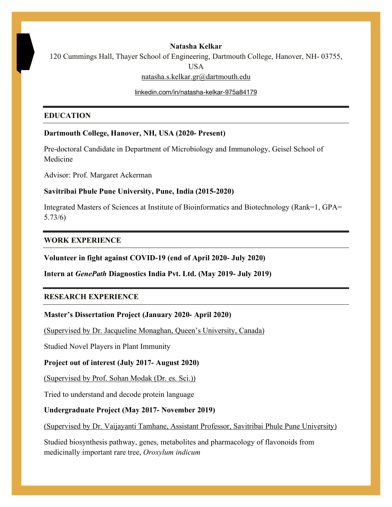#### **Natasha Kelkar**

120 Cummings Hall, Thayer School of Engineering, Dartmouth College, Hanover, NH- 03755,

USA

natasha.s.kelkar.gr@dartmouth.edu

linkedin.com/in/natasha-kelkar-975a84179

#### **EDUCATION**

### **Dartmouth College, Hanover, NH, USA (2020- Present)**

Pre-doctoral Candidate in Department of Microbiology and Immunology, Geisel School of Medicine

Advisor: Prof. Margaret Ackerman

### **Savitribai Phule Pune University, Pune, India (2015-2020)**

Integrated Masters of Sciences at Institute of Bioinformatics and Biotechnology (Rank=1, GPA= 5.73/6)

#### **WORK EXPERIENCE**

**Volunteer in fight against COVID-19 (end of April 2020- July 2020)**

**Intern at** *GenePath* **Diagnostics India Pvt. Ltd. (May 2019- July 2019)**

## **RESEARCH EXPERIENCE**

#### **Master's Dissertation Project (January 2020- April 2020)**

(Supervised by Dr. Jacqueline Monaghan, Queen's University, Canada)

Studied Novel Players in Plant Immunity

## **Project out of interest (July 2017- August 2020)**

(Supervised by Prof. Sohan Modak (Dr. es. Sci.))

Tried to understand and decode protein language

## **Undergraduate Project (May 2017- November 2019)**

(Supervised by Dr. Vaijayanti Tamhane, Assistant Professor, Savitribai Phule Pune University)

Studied biosynthesis pathway, genes, metabolites and pharmacology of flavonoids from medicinally important rare tree, *Oroxylum indicum*